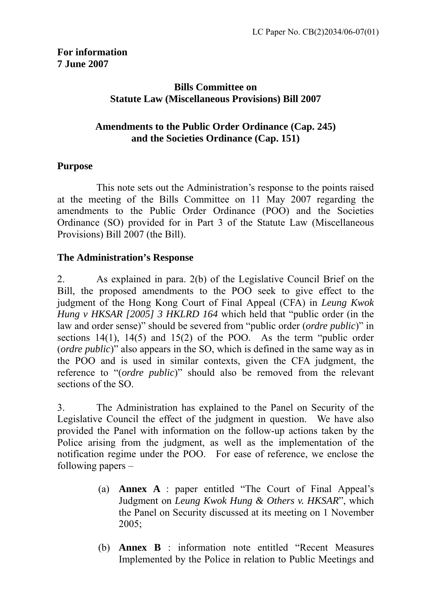## **Bills Committee on Statute Law (Miscellaneous Provisions) Bill 2007**

## **Amendments to the Public Order Ordinance (Cap. 245) and the Societies Ordinance (Cap. 151)**

## **Purpose**

 This note sets out the Administration's response to the points raised at the meeting of the Bills Committee on 11 May 2007 regarding the amendments to the Public Order Ordinance (POO) and the Societies Ordinance (SO) provided for in Part 3 of the Statute Law (Miscellaneous Provisions) Bill 2007 (the Bill).

## **The Administration's Response**

2. As explained in para. 2(b) of the Legislative Council Brief on the Bill, the proposed amendments to the POO seek to give effect to the judgment of the Hong Kong Court of Final Appeal (CFA) in *Leung Kwok Hung v HKSAR [2005] 3 HKLRD 164* which held that "public order (in the law and order sense)" should be severed from "public order (*ordre public*)" in sections 14(1), 14(5) and 15(2) of the POO. As the term "public order (*ordre public*)" also appears in the SO, which is defined in the same way as in the POO and is used in similar contexts, given the CFA judgment, the reference to "(*ordre public*)" should also be removed from the relevant sections of the SO.

3. The Administration has explained to the Panel on Security of the Legislative Council the effect of the judgment in question. We have also provided the Panel with information on the follow-up actions taken by the Police arising from the judgment, as well as the implementation of the notification regime under the POO. For ease of reference, we enclose the following papers –

- (a) **Annex A** : paper entitled "The Court of Final Appeal's Judgment on *Leung Kwok Hung & Others v. HKSAR*", which the Panel on Security discussed at its meeting on 1 November 2005;
- (b) **Annex B** : information note entitled "Recent Measures Implemented by the Police in relation to Public Meetings and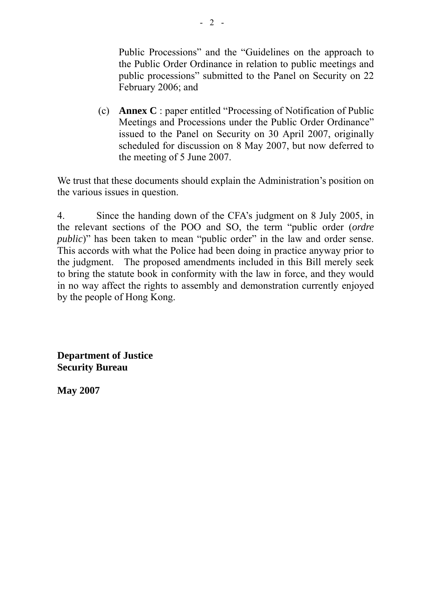Public Processions" and the "Guidelines on the approach to the Public Order Ordinance in relation to public meetings and public processions" submitted to the Panel on Security on 22 February 2006; and

(c) **Annex C** : paper entitled "Processing of Notification of Public Meetings and Processions under the Public Order Ordinance" issued to the Panel on Security on 30 April 2007, originally scheduled for discussion on 8 May 2007, but now deferred to the meeting of 5 June 2007.

We trust that these documents should explain the Administration's position on the various issues in question.

4. Since the handing down of the CFA's judgment on 8 July 2005, in the relevant sections of the POO and SO, the term "public order (*ordre public*)" has been taken to mean "public order" in the law and order sense. This accords with what the Police had been doing in practice anyway prior to the judgment. The proposed amendments included in this Bill merely seek to bring the statute book in conformity with the law in force, and they would in no way affect the rights to assembly and demonstration currently enjoyed by the people of Hong Kong.

**Department of Justice Security Bureau**

**May 2007**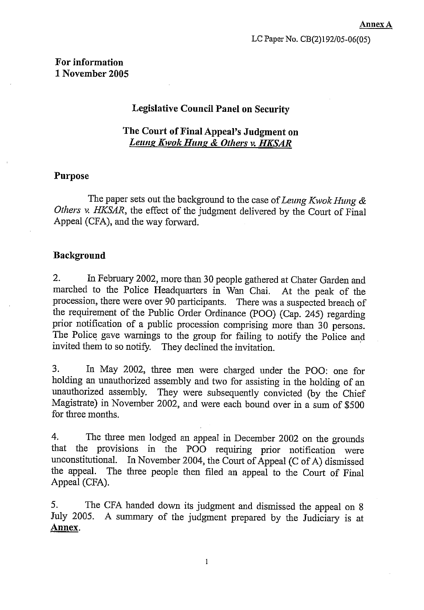## For information 1 November 2005

#### **Legislative Council Panel on Security**

### The Court of Final Appeal's Judgment on **Leung Kwok Hung & Others v. HKSAR**

#### **Purpose**

The paper sets out the background to the case of Leung Kwok Hung & Others v. HKSAR, the effect of the judgment delivered by the Court of Final Appeal (CFA), and the way forward.

#### **Background**

 $2.$ In February 2002, more than 30 people gathered at Chater Garden and marched to the Police Headquarters in Wan Chai. At the peak of the procession, there were over 90 participants. There was a suspected breach of the requirement of the Public Order Ordinance (POO) (Cap. 245) regarding prior notification of a public procession comprising more than 30 persons. The Police gave warnings to the group for failing to notify the Police and invited them to so notify. They declined the invitation.

In May 2002, three men were charged under the POO: one for 3. holding an unauthorized assembly and two for assisting in the holding of an unauthorized assembly. They were subsequently convicted (by the Chief Magistrate) in November 2002, and were each bound over in a sum of \$500 for three months.

 $4.$ The three men lodged an appeal in December 2002 on the grounds that the provisions in the POO requiring prior notification were In November 2004, the Court of Appeal (C of A) dismissed unconstitutional. The three people then filed an appeal to the Court of Final the appeal. Appeal (CFA).

5. The CFA handed down its judgment and dismissed the appeal on 8 July 2005. A summary of the judgment prepared by the Judiciary is at Annex.

 $\mathbf{1}$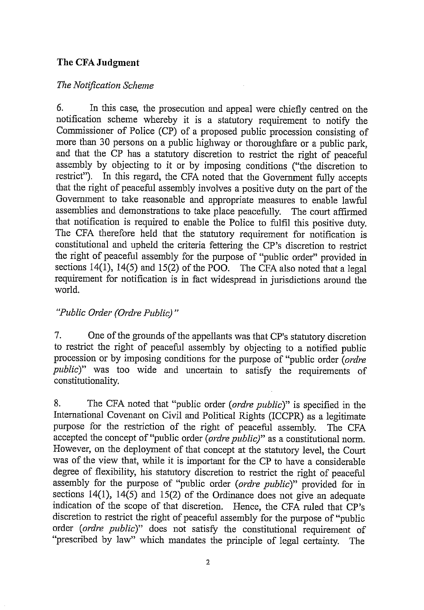## The CFA Judgment

## The Notification Scheme

6. In this case, the prosecution and appeal were chiefly centred on the notification scheme whereby it is a statutory requirement to notify the Commissioner of Police (CP) of a proposed public procession consisting of more than 30 persons on a public highway or thoroughfare or a public park, and that the CP has a statutory discretion to restrict the right of peaceful assembly by objecting to it or by imposing conditions ("the discretion to restrict"). In this regard, the CFA noted that the Government fully accepts that the right of peaceful assembly involves a positive duty on the part of the Government to take reasonable and appropriate measures to enable lawful assemblies and demonstrations to take place peacefully. The court affirmed that notification is required to enable the Police to fulfil this positive duty. The CFA therefore held that the statutory requirement for notification is constitutional and upheld the criteria fettering the CP's discretion to restrict the right of peaceful assembly for the purpose of "public order" provided in sections 14(1), 14(5) and 15(2) of the POO. The CFA also noted that a legal requirement for notification is in fact widespread in jurisdictions around the world.

## "Public Order (Ordre Public)"

 $7<sub>1</sub>$ One of the grounds of the appellants was that CP's statutory discretion to restrict the right of peaceful assembly by objecting to a notified public procession or by imposing conditions for the purpose of "public order (ordre public)" was too wide and uncertain to satisfy the requirements of constitutionality.

The CFA noted that "public order (ordre public)" is specified in the 8. International Covenant on Civil and Political Rights (ICCPR) as a legitimate purpose for the restriction of the right of peaceful assembly. The CFA accepted the concept of "public order (ordre public)" as a constitutional norm. However, on the deployment of that concept at the statutory level, the Court was of the view that, while it is important for the CP to have a considerable degree of flexibility, his statutory discretion to restrict the right of peaceful assembly for the purpose of "public order (ordre public)" provided for in sections  $14(1)$ ,  $14(5)$  and  $15(2)$  of the Ordinance does not give an adequate indication of the scope of that discretion. Hence, the CFA ruled that CP's discretion to restrict the right of peaceful assembly for the purpose of "public order (ordre public)" does not satisfy the constitutional requirement of "prescribed by law" which mandates the principle of legal certainty. **The**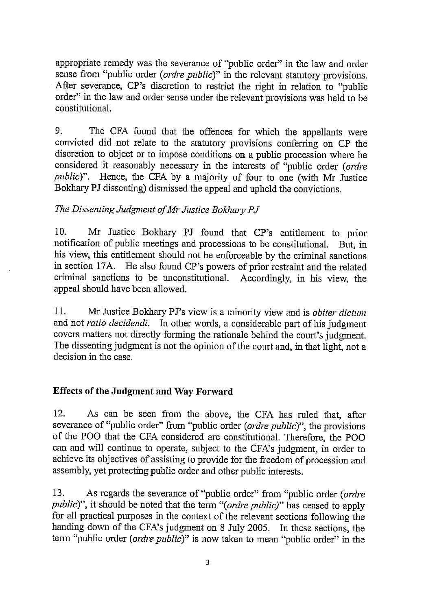appropriate remedy was the severance of "public order" in the law and order sense from "public order (ordre public)" in the relevant statutory provisions. After severance, CP's discretion to restrict the right in relation to "public order" in the law and order sense under the relevant provisions was held to be constitutional

9. The CFA found that the offences for which the appellants were convicted did not relate to the statutory provisions conferring on CP the discretion to object or to impose conditions on a public procession where he considered it reasonably necessary in the interests of "public order (ordre public)". Hence, the CFA by a majority of four to one (with Mr Justice Bokhary PJ dissenting) dismissed the appeal and upheld the convictions.

## The Dissenting Judgment of Mr Justice Bokhary PJ

10. Mr Justice Bokhary PJ found that CP's entitlement to prior notification of public meetings and processions to be constitutional. But, in his view, this entitlement should not be enforceable by the criminal sanctions in section 17A. He also found CP's powers of prior restraint and the related criminal sanctions to be unconstitutional. Accordingly, in his view, the appeal should have been allowed.

11. Mr Justice Bokhary PJ's view is a minority view and is *obiter dictum* and not ratio decidendi. In other words, a considerable part of his judgment covers matters not directly forming the rationale behind the court's judgment. The dissenting judgment is not the opinion of the court and, in that light, not a decision in the case.

## **Effects of the Judgment and Way Forward**

 $12<sub>1</sub>$ As can be seen from the above, the CFA has ruled that, after severance of "public order" from "public order (ordre public)", the provisions of the POO that the CFA considered are constitutional. Therefore, the POO can and will continue to operate, subject to the CFA's judgment, in order to achieve its objectives of assisting to provide for the freedom of procession and assembly, yet protecting public order and other public interests.

 $13.$ As regards the severance of "public order" from "public order (ordre *public*)", it should be noted that the term "(*ordre public*)" has ceased to apply for all practical purposes in the context of the relevant sections following the handing down of the CFA's judgment on 8 July 2005. In these sections, the term "public order (ordre public)" is now taken to mean "public order" in the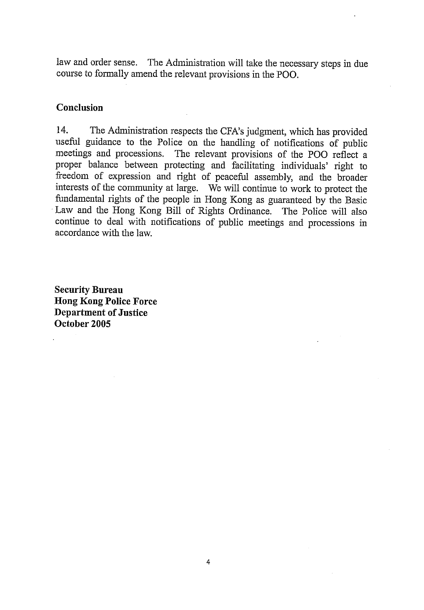law and order sense. The Administration will take the necessary steps in due course to formally amend the relevant provisions in the POO.

## **Conclusion**

14. The Administration respects the CFA's judgment, which has provided useful guidance to the Police on the handling of notifications of public meetings and processions. The relevant provisions of the POO reflect a proper balance between protecting and facilitating individuals' right to freedom of expression and right of peaceful assembly, and the broader interests of the community at large. We will continue to work to protect the fundamental rights of the people in Hong Kong as guaranteed by the Basic Law and the Hong Kong Bill of Rights Ordinance. The Police will also continue to deal with notifications of public meetings and processions in accordance with the law.

**Security Bureau Hong Kong Police Force Department of Justice** October 2005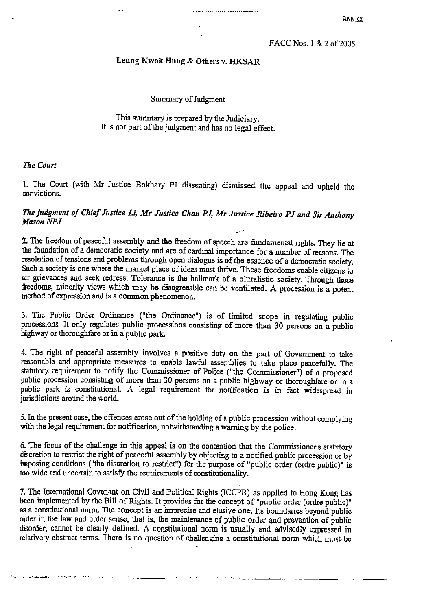#### Leung Kwok Hung & Others v. HKSAR

Summary of Judgment

This summary is prepared by the Judiciary. It is not part of the judgment and has no legal effect.

#### The Court

يطيرن والأريان يتحصده والماطئ الصطرفات والهطليقياط القاطعة

1. The Court (with Mr Justice Bokhary PJ dissenting) dismissed the appeal and upheld the convictions.

#### The judgment of Chief Justice Li, Mr Justice Chan PJ, Mr Justice Ribeiro PJ and Sir Anthony **Mason NPJ**

2. The freedom of peaceful assembly and the freedom of speech are fundamental rights. They lie at the foundation of a democratic society and are of cardinal importance for a number of reasons. The resolution of tensions and problems through open dialogue is of the essence of a democratic society. Such a society is one where the market place of ideas must thrive. These freedoms enable citizens to air grievances and seek redress. Tolerance is the hallmark of a pluralistic society. Through these freedoms, minority views which may be disagreeable can be ventilated. A procession is a potent method of expression and is a common phenomenon.

3. The Public Order Ordinance ("the Ordinance") is of limited scope in regulating public processions. It only regulates public processions consisting of more than 30 persons on a public highway or thoroughfare or in a public park.

4. The right of peaceful assembly involves a positive duty on the part of Government to take reasonable and appropriate measures to enable lawful assemblies to take place peacefully. The statutory requirement to notify the Commissioner of Police ("the Commissioner") of a proposed public procession consisting of more than 30 persons on a public highway or thoroughfare or in a public park is constitutional. A legal requirement for notification is in fact widespread in jurisdictions around the world.

5. In the present case, the offences arose out of the holding of a public procession without complying with the legal requirement for notification, notwithstanding a warning by the police.

6. The focus of the challenge in this appeal is on the contention that the Commissioner's statutory discretion to restrict the right of peaceful assembly by objecting to a notified public procession or by imposing conditions ("the discretion to restrict") for the purpose of "public order (ordre public)" is too wide and uncertain to satisfy the requirements of constitutionality.

7. The International Covenant on Civil and Political Rights (ICCPR) as applied to Hong Kong has been implemented by the Bill of Rights. It provides for the concept of "public order (ordre public)" as a constitutional norm. The concept is an imprecise and elusive one. Its boundaries beyond public order in the law and order sense, that is, the maintenance of public order and prevention of public disorder, cannot be clearly defined. A constitutional norm is usually and advisedly expressed in relatively abstract terms. There is no question of challenging a constitutional norm which must be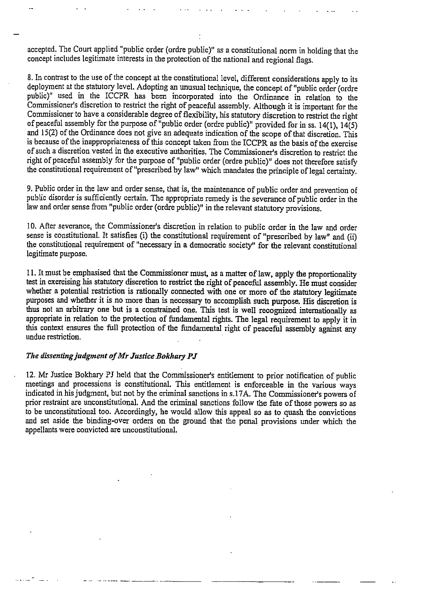accepted. The Court applied "public order (ordre public)" as a constitutional norm in holding that the concept includes legitimate interests in the protection of the national and regional flags.

8. In contrast to the use of the concept at the constitutional level, different considerations apply to its deployment at the statutory level. Adopting an unusual technique, the concept of "public order (ordre public)" used in the ICCPR has been incorporated into the Ordinance in relation to the Commissioner's discretion to restrict the right of peaceful assembly. Although it is important for the Commissioner to have a considerable degree of flexibility, his statutory discretion to restrict the right of peaceful assembly for the purpose of "public order (ordre public)" provided for in ss. 14(1), 14(5) and 15(2) of the Ordinance does not give an adequate indication of the scope of that discretion. This is because of the inappropriateness of this concept taken from the ICCPR as the basis of the exercise of such a discretion vested in the executive authorities. The Commissioner's discretion to restrict the right of peaceful assembly for the purpose of "public order (ordre public)" does not therefore satisfy the constitutional requirement of "prescribed by law" which mandates the principle of legal certainty.

9. Public order in the law and order sense, that is, the maintenance of public order and prevention of public disorder is sufficiently certain. The appropriate remedy is the severance of public order in the law and order sense from "public order (ordre public)" in the relevant statutory provisions.

10. After severance, the Commissioner's discretion in relation to public order in the law and order sense is constitutional. It satisfies (i) the constitutional requirement of "prescribed by law" and (ii) the constitutional requirement of "necessary in a democratic society" for the relevant constitutional legitimate purpose.

11. It must be emphasised that the Commissioner must, as a matter of law, apply the proportionality test in exercising his statutory discretion to restrict the right of peaceful assembly. He must consider whether a potential restriction is rationally connected with one or more of the statutory legitimate purposes and whether it is no more than is necessary to accomplish such purpose. His discretion is thus not an arbitrary one but is a constrained one. This test is well recognized internationally as appropriate in relation to the protection of fundamental rights. The legal requirement to apply it in this context ensures the full protection of the fundamental right of peaceful assembly against any undue restriction.

#### The dissenting judgment of Mr Justice Bokhary PJ

12. Mr Justice Bokhary PJ held that the Commissioner's entitlement to prior notification of public meetings and processions is constitutional. This entitlement is enforceable in the various ways indicated in his judgment, but not by the criminal sanctions in s.17A. The Commissioner's powers of prior restraint are unconstitutional. And the criminal sanctions follow the fate of those powers so as to be unconstitutional too. Accordingly, he would allow this appeal so as to quash the convictions and set aside the binding-over orders on the ground that the penal provisions under which the appellants were convicted are unconstitutional.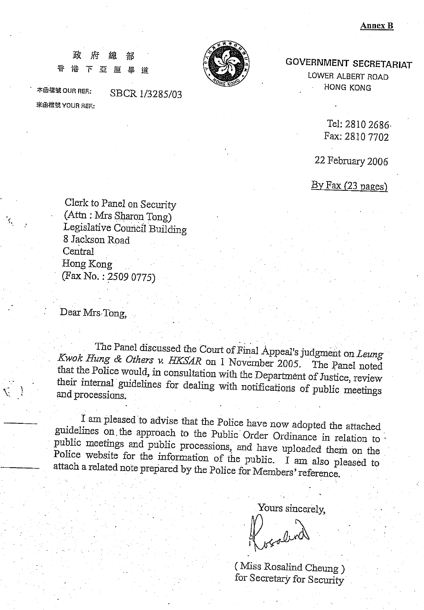#### 政 府 緽 港下亞厘畢 吞 迶



本函檔號 OUR REF .: 來函檔號 YOUR REF: SBCR 1/3285/03

**GOVERNMENT SECRETARIAT** 

LOWER ALBERT ROAD HONG KONG

> Tel: 2810 2686 Fax: 2810 7702

22 February 2006

 $By Fax(23 pages)$ 

Clerk to Panel on Security (Attn: Mrs Sharon Tong) Legislative Council Building 8 Jackson Road Central Hong Kong (Fax No.: 2509 0775)

Dear Mrs Tong,

The Panel discussed the Court of Final Appeal's judgment on Leung Kwok Hung & Others v. HKSAR on 1 November 2005. The Panel noted that the Police would, in consultation with the Department of Justice, review their internal guidelines for dealing with notifications of public meetings and processions.

I am pleased to advise that the Police have now adopted the attached guidelines on the approach to the Public Order Ordinance in relation to public meetings and public processions, and have uploaded them on the Police website for the information of the public. I am also pleased to attach a related note prepared by the Police for Members' reference.

Yours sincerely,

(Miss Rosalind Cheung) for Secretary for Security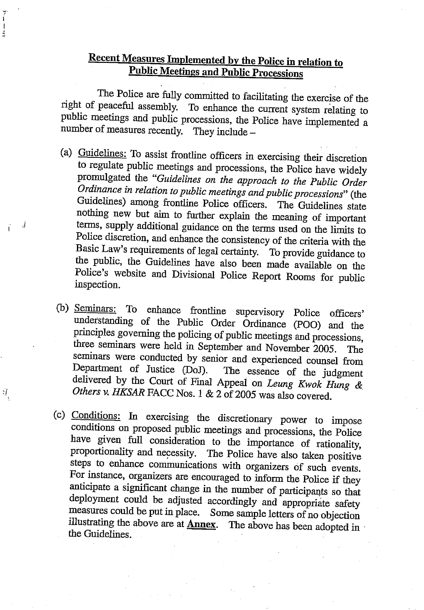# **Recent Measures Implemented by the Police in relation to Public Meetings and Public Processions**

ي.<br>1  $\mathfrak t$  $\frac{1}{2}$ 

J.

Ť

Ń,

The Police are fully committed to facilitating the exercise of the right of peaceful assembly. To enhance the current system relating to public meetings and public processions, the Police have implemented a number of measures recently. They include -

(a) Guidelines: To assist frontline officers in exercising their discretion to regulate public meetings and processions, the Police have widely promulgated the "Guidelines on the approach to the Public Order Ordinance in relation to public meetings and public processions" (the Guidelines) among frontline Police officers. The Guidelines state nothing new but aim to further explain the meaning of important terms, supply additional guidance on the terms used on the limits to Police discretion, and enhance the consistency of the criteria with the Basic Law's requirements of legal certainty. To provide guidance to the public, the Guidelines have also been made available on the Police's website and Divisional Police Report Rooms for public inspection.

(b) Seminars: To enhance frontline supervisory Police officers' understanding of the Public Order Ordinance (POO) and the principles governing the policing of public meetings and processions, three seminars were held in September and November 2005. The seminars were conducted by senior and experienced counsel from Department of Justice (DoJ). The essence of the judgment delivered by the Court of Final Appeal on Leung Kwok Hung & Others v. HKSAR FACC Nos. 1 & 2 of 2005 was also covered.

(c) Conditions: In exercising the discretionary power to impose conditions on proposed public meetings and processions, the Police have given full consideration to the importance of rationality, proportionality and necessity. The Police have also taken positive steps to enhance communications with organizers of such events. For instance, organizers are encouraged to inform the Police if they anticipate a significant change in the number of participants so that deployment could be adjusted accordingly and appropriate safety measures could be put in place. Some sample letters of no objection illustrating the above are at **Annex**. The above has been adopted in the Guidelines.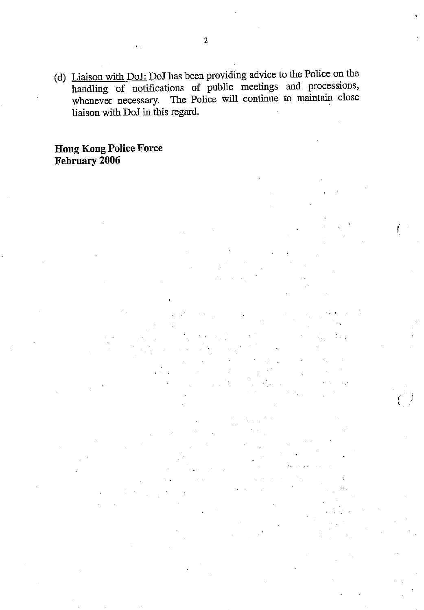(d) Liaison with DoJ: DoJ has been providing advice to the Police on the handling of notifications of public meetings and processions, whenever necessary. The Police will continue to maintain close liaison with DoJ in this regard.

**Hong Kong Police Force** February 2006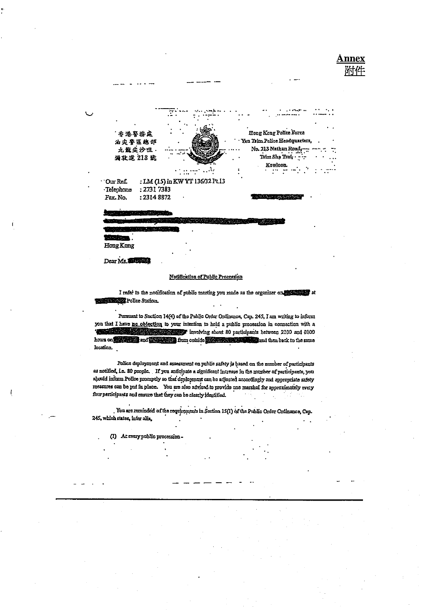

Dear Ms.

#### Notification of Public Procession

I refer to the notification of public meeting you made as the organizer on the state of at Police Station.

Pursuant to Section 14(4) of the Public Order Ordinance, Cap. 245, I am writing to inform you that I have no objection to your intention to hold a public procession in connection with a involving about 80 participants between 2100 and 0100 **START OF** hours on **second and the same in the control of the same of the same in the same of the same** location.

Police deployment and assessment on public safety is based on the number of participants as notified, i.e. 80 people. If you anticipate a significant increase in the number of participants, you should inform Police promptly so that deployment can be adjusted accordingly and appropriate safety measures can be put in place. You are also advised to movide one marshal for approximately every four participants and ensure that they can be clearly identified.

. You are reminded of the requirements in Section 15(1) of the Public Order Ordinance, Cap. 245, which states, infer alis,

(1) At every public procession-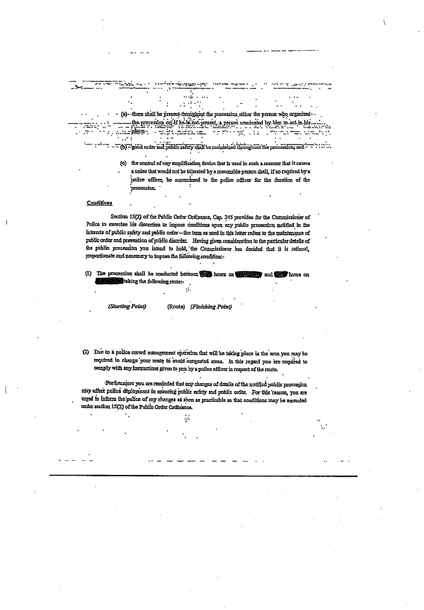(a)--there shall be present throughout the procession either the person who organized. the procession or if he is not present, a person nominated by him to act in his Ŀ. place.  $\frac{1}{2}$  $\mathbf{r}$  $\ddot{\ddot{\mathbf{z}}}$ ۰. " (b) - good order and public safety ahalf be maintained throughout the procession; and " - " : : : : . .

> (c) the control of any amplification device that is used in such a manner that it causes a noise that would not be tolerated by a reasonable person shall, if so required by a police officer, be surendered to the police officer for the duration of the procession.

#### Conditions

Section 15(2) of the Public Order Ordinance, Cap. 245 provides for the Commissioner of Police to exercise his discretion to impose conditions upon any public procession notified in the interests of public safety and public onter - the term as used in this letter refers to the maintenance of public order and prevention of public disorder. Having given consideration to the particular details of the public procession you intend to hold, the Commissioner has decided that it is rational, proportionate and necessary to impose the following condition:-

(1) The procession shall be conducted between the hours on the same **Phours** on taking the following router-

 $\sim$ 

(Starting Point)

(Route) (Finishing Point)

(2) Due to a police crowd management operation that will be taking place in the area you may be required to change your route to avoid congested areas. In this regard you are required to comply with any instructions given to you by a police officer in respect of the route.

Furthermore you are reminded that any changes of details of the notified public procession may affect police deployment in ensuring public safety and public order. For this reason, you are urged to inform the police of any changes as soon as practicable so that conditions may be amended under section 15(3) of the Public Order Ordinance.

 $\mathcal{L}$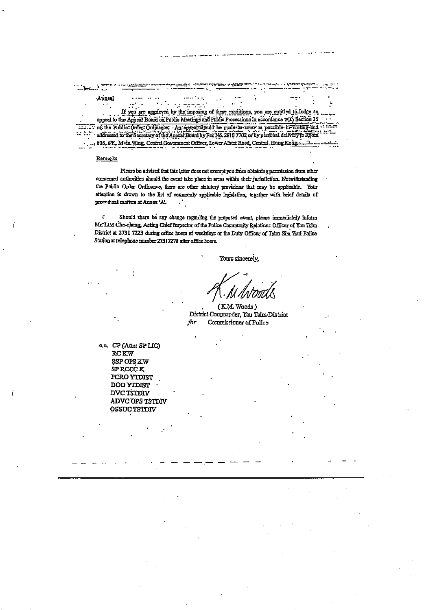Appeal t.  $\mathcal{O}_{\mathcal{A}}$  $\ddot{\phantom{0}}$ If you are aggricyed by the imposing of these conditions, you are entitled to lodge an appeal to the Appeal Board on Public Meetings and Public Processions in accordance with Section 16 of the Public-Ordinator: An-appeal-should be made its soon as possible in writing and ........ supposed to the genetica of the vehicle Buard parts as 100 3010 3100 or pa become deliverate his record ...; 606. 6/F., Main Wing, Central Government Offices, Lower Albert Road, Central, Hong Kong....

جرحه دوينه

#### Remarks

ζ.

يجريبهم

Please be advised that this letter does not exempt you from obtaining permission from other concerned authorities should the event take place in areas within their jurisdiction. Notwithstanding the Public Order Ordinance, there are other statutory provisions that may be applicable. Your attention is drawn to the list of commonly applicable legislation, together with brief details of procedural matters at Annex 'A'. УŊ

÷. Should there be any change regarding the proposed event, please immediately inform Mr. LIM Che-chung, Acting Chief Inspector of the Police Community Relations Officer of Yau Tsim District at 2731 7223 during office hours at weekdays or the Duty Officer of Tsim Sha Tsui Police Station at telephone number 27317278 after office hours.

Yours sincerely.

(KM Woods) District Commander, Yau Tsim-District for Commissioner of Police

c.c. CP (Attn: SP LIC) **RCKW** SSP OPS KW SP RCCC K PCRO YTDIST **DOO YIDIST DVC TSTDIV** ADVC OPS TSTDIV **OSSUC TSTDIV**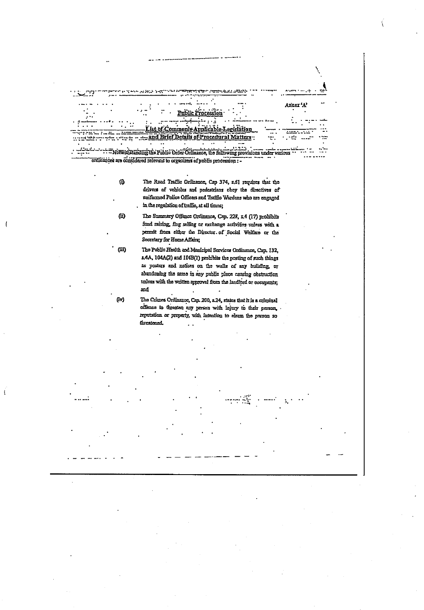

 $\mathbf{I}$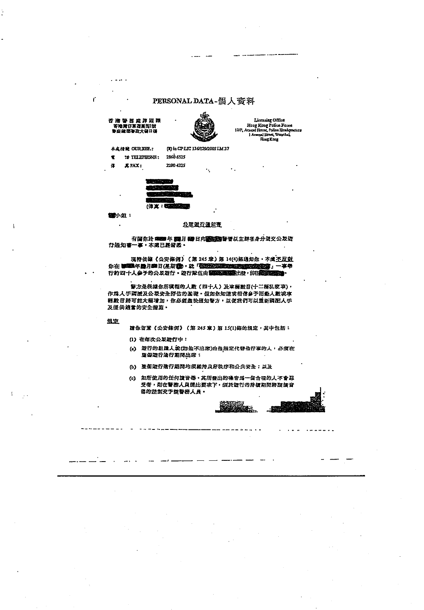#### PERSONAL DATA-個人資料

#### 香港警告成群眾課 - 12 海洋仔草在新鲜的<br>香港湾仔草在新鲜的城

 $\sim$  . .

ť



(3) in CPLIC 136/129/2005 IM 37

Licensing Office<br>Hong Kong Police Force<br>Aranal Hone, Police Headque<br>1 Aranal Sines, Wanchal, 12/P. A Hong Kong

本皮结就 OURNER.:

 $\tilde{\mathbf{T}}$ 12 TELEPHONE: 2860 6525

œ 其FAX: 2200 4325

| . . |
|-----|
|     |
|     |
|     |

图 水姐: L.

#### 公平进行资知青

有調你於 **準備** 年 調月 859 日向<mark>藤藤野</mark>寄以主群者身分汲交公及遊<br>行通知書一事,本成已經帶悉。

現特依線《公安條例》(第245章)第14(4)條通知你,本成不反對 **协会 都面地看见一个人的意思。这个人的话都不是不是不是不是不是** 行約四十人多予的公及遊行 · 遊行隊伍由醫藥學學部出發,前往醫療學科

昔方是根據你所填報的人數(四十人)及車輛數目(十二桶私家車), 作爲人手兩派及公眾安全評估的基礎。假如你知道或相信多予活動人数或車 糖酸目脓可能大概增加,你必须盡快通知警方,以便我們可以重新調配人手 及提供適當的安全指施。

患定

請你留意《公安條例》(第245章)第15(1)條的規定,其中包括:

- (1) 在每次公灵遊行中:
- (2) 遵行的組織人或(如他不出席)由他指定代替他行事的人,必須在
- (b) 整個遊行進行期間均須維持良好秩序和公共安全;以及
- (c) 如所使用的任何演音器, 其所登出的噪音爲一個合理的人不會忍 受者, 则在警游人员提出要求下, 須於遊行的持續期間將該蛋音 器的控制交子胶替资人员·

en.<br>Milio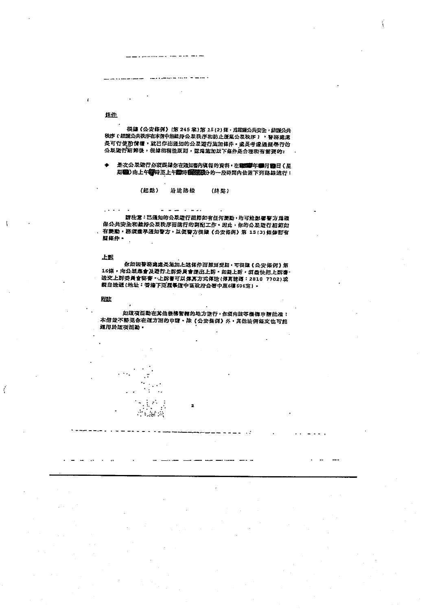a an nan mara ann an an an an

#### 怪任

根據《公安條例》(第245章)第15(2)條,爲能議公共安全,維護公共 秩序(維護公共秩序在本信中指輯持公眾秩序和防止發票公眾秩序), 智涵處慮 長可行使的情裡,就已作出通知的公眾遊行施加條件,處長考慮過無學行的 公及遊行細節後,根據相稱性原則,認爲施加以下條件是合理和有需要的:

是次公眾遊行必須跟遠你在通知書內與報的資料,在睡睡學年體月體日(星 期間)由上午電時至上午間時間整整のか一段時間内依照下列路線造行:

> (起點) 沿途路级 (终點)

> > $-$

 $\ddot{\cdot}$  $\frac{1}{2}$ 

of Chefre

詩注意:已通知的公及遊行細節如有任何變動,均可能影響警方爲確 保公共安全和維持公眾秩序而進行的調配工作。因此,你的公及遊行細節如 有變動, 諮須盡早通知誓方, 以便警方很掉(公安條例) 第 15(3)條修訂有 **関條件** 

الأمام المرار

#### 上訴

你如因警務處處是施加上述條件而怒到受用,可很讓《公安條例》第 16條,向公眾集會及遵行上訴委員會提出上訴。如疑上訴,須盡快把上訴會, 送交上訴委員會秘書·上訴書可以傳真方式傳送(傳真號碼: 2810 7702)或 段自送遞(地址:香港下亞區基道中區政府合著中座6樓606室) -

#### 雎

ť

如道項活動在其他機構管轄的地方進行,你須向鼓等機構申請批准; 本信並不許竞你在這方面的申請。除《公安條例》外,其他法例條文也可能 **通用於還項活動** 

 $\overline{\mathbf{z}}$ 

- 19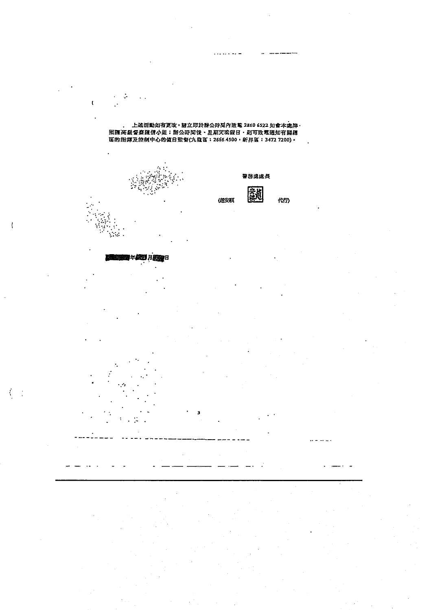. 上述活動如有更改,封立即於辦公時間內致意 2860 6522 知會本處牌·<br>照課高級督委陳信小姐:辦公時間後、星期天或假日,則可致電通知有關總<br>區的指揮及控制中心的貧日監督(九龍區:2666 4500,新界區:3472 7200)·



 $\mathbf{r}$ 



医血管半级型 月照的月

 $\overline{\mathbf{3}}$ 

ţ.

....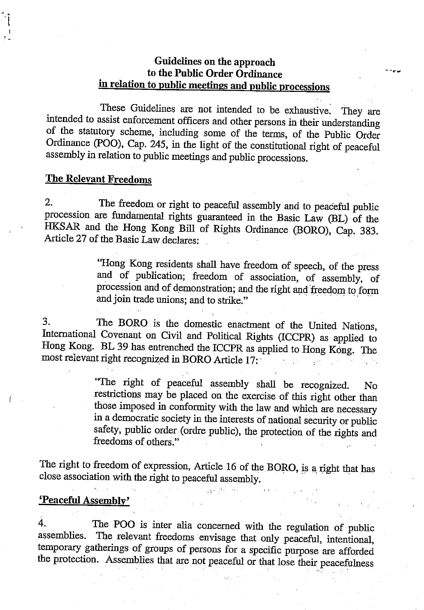## Guidelines on the approach to the Public Order Ordinance in relation to public meetings and public processions

These Guidelines are not intended to be exhaustive. They are intended to assist enforcement officers and other persons in their understanding of the statutory scheme, including some of the terms, of the Public Order Ordinance (POO), Cap. 245, in the light of the constitutional right of peaceful assembly in relation to public meetings and public processions.

#### **The Relevant Freedoms**

 $2.$ The freedom or right to peaceful assembly and to peaceful public procession are fundamental rights guaranteed in the Basic Law (BL) of the HKSAR and the Hong Kong Bill of Rights Ordinance (BORO), Cap. 383. Article 27 of the Basic Law declares:

> "Hong Kong residents shall have freedom of speech, of the press and of publication; freedom of association, of assembly, of procession and of demonstration; and the right and freedom to form and join trade unions; and to strike."

The BORO is the domestic enactment of the United Nations, 3. International Covenant on Civil and Political Rights (ICCPR) as applied to Hong Kong. BL 39 has entrenched the ICCPR as applied to Hong Kong. The most relevant right recognized in BORO Article 17:  $\mathcal{L}^{(1)}$ age (No

> "The right of peaceful assembly shall be recognized. No. restrictions may be placed on the exercise of this right other than those imposed in conformity with the law and which are necessary in a democratic society in the interests of national security or public safety, public order (ordre public), the protection of the rights and freedoms of others."

The right to freedom of expression, Article 16 of the BORO, is a right that has close association with the right to peaceful assembly.

#### 'Peaceful Assembly'

The POO is inter alia concerned with the regulation of public  $\overline{4}$ . The relevant freedoms envisage that only peaceful, intentional, assemblies. temporary gatherings of groups of persons for a specific purpose are afforded the protection. Assemblies that are not peaceful or that lose their peacefulness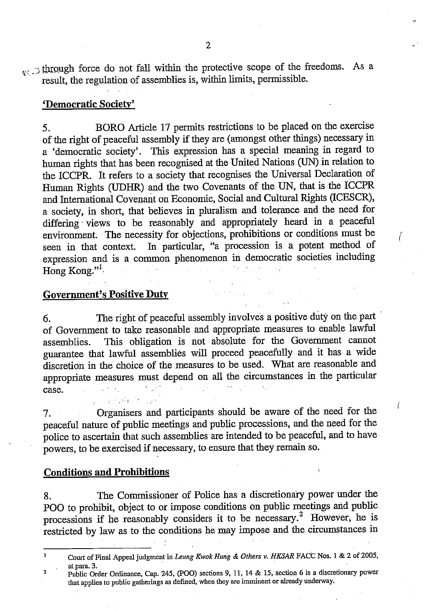through force do not fall within the protective scope of the freedoms. As a result, the regulation of assemblies is, within limits, permissible.

## 'Democratic Society'

BORO Article 17 permits restrictions to be placed on the exercise 5. of the right of peaceful assembly if they are (amongst other things) necessary in a 'democratic society'. This expression has a special meaning in regard to human rights that has been recognised at the United Nations (UN) in relation to the ICCPR. It refers to a society that recognises the Universal Declaration of Human Rights (UDHR) and the two Covenants of the UN, that is the ICCPR and International Covenant on Economic, Social and Cultural Rights (ICESCR), a society, in short, that believes in pluralism and tolerance and the need for differing views to be reasonably and appropriately heard in a peaceful environment. The necessity for objections, prohibitions or conditions must be In particular, "a procession is a potent method of seen in that context. expression and is a common phenomenon in democratic societies including Hong Kong  $"$  $\mathcal{L}_{\text{max}}$ 

### **Government's Positive Duty**

The right of peaceful assembly involves a positive duty on the part 6. of Government to take reasonable and appropriate measures to enable lawful This obligation is not absolute for the Government cannot assemblies. guarantee that lawful assemblies will proceed peacefully and it has a wide discretion in the choice of the measures to be used. What are reasonable and appropriate measures must depend on all the circumstances in the particular  $\sim 10^{11}$  and  $\sim 10^{11}$ case.

 $\mathcal{L}^{\text{max}}$  and  $\mathcal{L}^{\text{max}}$ 

Organisers and participants should be aware of the need for the  $7.$ peaceful nature of public meetings and public processions, and the need for the police to ascertain that such assemblies are intended to be peaceful, and to have powers, to be exercised if necessary, to ensure that they remain so.

Í

## **Conditions and Prohibitions**

The Commissioner of Police has a discretionary power under the 8. POO to prohibit, object to or impose conditions on public meetings and public. processions if he reasonably considers it to be necessary.<sup>2</sup> However, he is restricted by law as to the conditions he may impose and the circumstances in

Court of Final Appeal judgment in Leung Kwok Hung & Others v. HKSAR FACC Nos. 1 & 2 of 2005, at para. 3.

Public Order Ordinance, Cap. 245, (POO) sections 9, 11, 14 & 15, section 6 is a discretionary power  $\overline{2}$ that applies to public gatherings as defined, when they are imminent or already underway.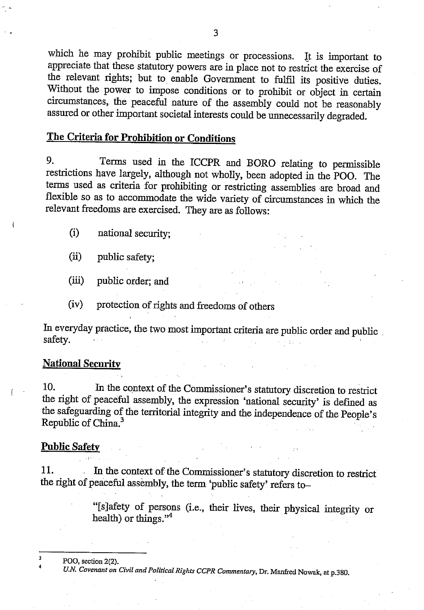which he may prohibit public meetings or processions. It is important to appreciate that these statutory powers are in place not to restrict the exercise of the relevant rights; but to enable Government to fulfil its positive duties. Without the power to impose conditions or to prohibit or object in certain circumstances, the peaceful nature of the assembly could not be reasonably assured or other important societal interests could be unnecessarily degraded.

# The Criteria for Prohibition or Conditions

9. Terms used in the ICCPR and BORO relating to permissible restrictions have largely, although not wholly, been adopted in the POO. The terms used as criteria for prohibiting or restricting assemblies are broad and flexible so as to accommodate the wide variety of circumstances in which the relevant freedoms are exercised. They are as follows:

- $(i)$ national security;
- $(ii)$ public safety;
- $(iii)$ public order; and
- protection of rights and freedoms of others  $(iv)$

In everyday practice, the two most important criteria are public order and public safety.

### **National Security**

 $10.$ In the context of the Commissioner's statutory discretion to restrict the right of peaceful assembly, the expression 'national security' is defined as the safeguarding of the territorial integrity and the independence of the People's Republic of China.<sup>3</sup>

#### **Public Safety**

In the context of the Commissioner's statutory discretion to restrict 11. the right of peaceful assembly, the term 'public safety' refers to-

> "[s]afety of persons (i.e., their lives, their physical integrity or health) or things."<sup>4</sup>

POO, section 2(2).

U.N. Covenant on Civil and Political Rights CCPR Commentary, Dr. Manfred Nowak, at p.380.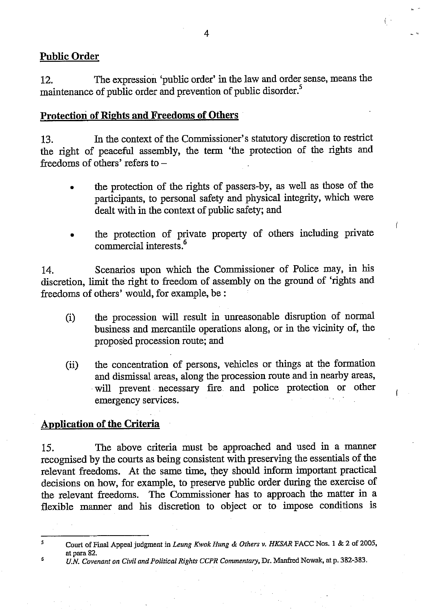## **Public Order**

The expression 'public order' in the law and order sense, means the 12. maintenance of public order and prevention of public disorder.<sup>5</sup>

## **Protection of Rights and Freedoms of Others**

In the context of the Commissioner's statutory discretion to restrict 13. the right of peaceful assembly, the term 'the protection of the rights and freedoms of others' refers to  $-$ 

- the protection of the rights of passers-by, as well as those of the participants, to personal safety and physical integrity, which were dealt with in the context of public safety; and
- the protection of private property of others including private commercial interests.<sup>6</sup>

Scenarios upon which the Commissioner of Police may, in his  $14$ discretion, limit the right to freedom of assembly on the ground of 'rights and freedoms of others' would, for example, be :

- the procession will result in unreasonable disruption of normal  $(i)$ business and mercantile operations along, or in the vicinity of, the proposed procession route; and
- the concentration of persons, vehicles or things at the formation  $(ii)$ and dismissal areas, along the procession route and in nearby areas, will prevent necessary fire and police protection or other emergency services.

## **Application of the Criteria**

The above criteria must be approached and used in a manner 15. recognised by the courts as being consistent with preserving the essentials of the relevant freedoms. At the same time, they should inform important practical decisions on how, for example, to preserve public order during the exercise of the relevant freedoms. The Commissioner has to approach the matter in a flexible manner and his discretion to object or to impose conditions is

6 U.N. Covenant on Civil and Political Rights CCPR Commentary, Dr. Manfred Nowak, at p. 382-383.

<sup>5</sup> Court of Final Appeal judgment in Leung Kwok Hung & Others v. HKSAR FACC Nos. 1 & 2 of 2005, at para 82.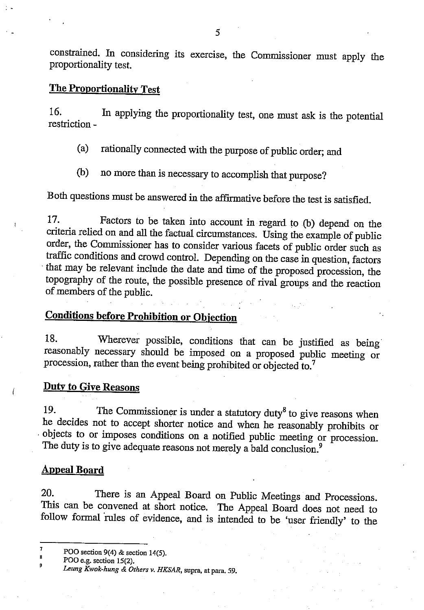constrained. In considering its exercise, the Commissioner must apply the proportionality test.

# **The Proportionality Test**

In applying the proportionality test, one must ask is the potential 16. restriction -

rationally connected with the purpose of public order; and  $(a)$ 

no more than is necessary to accomplish that purpose? (b)

Both questions must be answered in the affirmative before the test is satisfied.

17. Factors to be taken into account in regard to (b) depend on the criteria relied on and all the factual circumstances. Using the example of public order, the Commissioner has to consider various facets of public order such as traffic conditions and crowd control. Depending on the case in question, factors that may be relevant include the date and time of the proposed procession, the topography of the route, the possible presence of rival groups and the reaction of members of the public.

# **Conditions before Prohibition or Objection**

18. Wherever possible, conditions that can be justified as being reasonably necessary should be imposed on a proposed public meeting or procession, rather than the event being prohibited or objected to.<sup>7</sup>

### **Duty to Give Reasons**

19. The Commissioner is under a statutory duty<sup>8</sup> to give reasons when he decides not to accept shorter notice and when he reasonably prohibits or objects to or imposes conditions on a notified public meeting or procession. The duty is to give adequate reasons not merely a bald conclusion.<sup>9</sup>

### **Appeal Board**

20. There is an Appeal Board on Public Meetings and Processions. This can be convened at short notice. The Appeal Board does not need to follow formal rules of evidence, and is intended to be 'user friendly' to the

POO section 9(4) & section 14(5).

POO e.g. section 15(2).

Leung Kwok-hung & Others v. HKSAR, supra, at para. 59.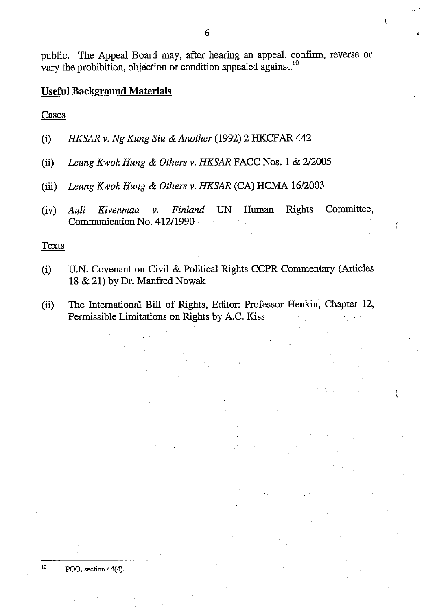public. The Appeal Board may, after hearing an appeal, confirm, reverse or vary the prohibition, objection or condition appealed against.<sup>10</sup>

## Useful Background Materials

Cases

- HKSAR v. Ng Kung Siu & Another (1992) 2 HKCFAR 442  $(i)$
- Leung Kwok Hung & Others v. HKSAR FACC Nos. 1 & 2/2005  $(ii)$
- Leung Kwok Hung & Others v. HKSAR (CA) HCMA 16/2003  $(iii)$
- Committee, Finland **Rights**  $(iv)$ Auli Kivenmaa  $\mathcal{V}$ .  $UN$ Human Communication No. 412/1990

**Texts** 

- U.N. Covenant on Civil & Political Rights CCPR Commentary (Articles  $(i)$ 18 & 21) by Dr. Manfred Nowak
- The International Bill of Rights, Editor: Professor Henkin, Chapter 12,  $(ii)$ Permissible Limitations on Rights by A.C. Kiss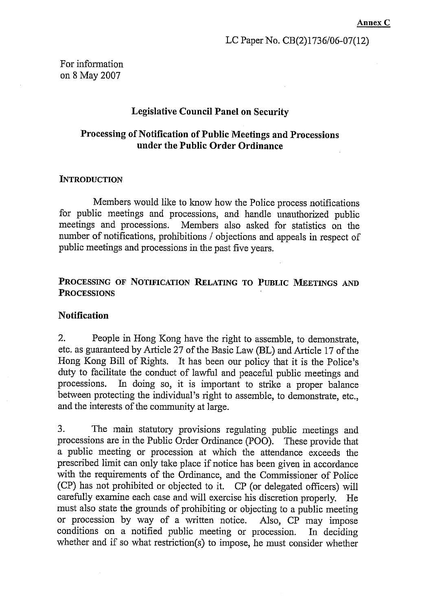For information on 8 May 2007

### **Legislative Council Panel on Security**

## Processing of Notification of Public Meetings and Processions under the Public Order Ordinance

#### **INTRODUCTION**

Members would like to know how the Police process notifications for public meetings and processions, and handle unauthorized public meetings and processions. Members also asked for statistics on the number of notifications, prohibitions / objections and appeals in respect of public meetings and processions in the past five years.

## PROCESSING OF NOTIFICATION RELATING TO PUBLIC MEETINGS AND **PROCESSIONS**

### **Notification**

 $2.$ People in Hong Kong have the right to assemble, to demonstrate, etc. as guaranteed by Article 27 of the Basic Law (BL) and Article 17 of the Hong Kong Bill of Rights. It has been our policy that it is the Police's duty to facilitate the conduct of lawful and peaceful public meetings and In doing so, it is important to strike a proper balance processions. between protecting the individual's right to assemble, to demonstrate, etc., and the interests of the community at large.

 $3<sub>1</sub>$ The main statutory provisions regulating public meetings and processions are in the Public Order Ordinance (POO). These provide that a public meeting or procession at which the attendance exceeds the prescribed limit can only take place if notice has been given in accordance with the requirements of the Ordinance, and the Commissioner of Police (CP) has not prohibited or objected to it. CP (or delegated officers) will carefully examine each case and will exercise his discretion properly. He must also state the grounds of prohibiting or objecting to a public meeting or procession by way of a written notice. Also, CP may impose conditions on a notified public meeting or procession. In deciding whether and if so what restriction(s) to impose, he must consider whether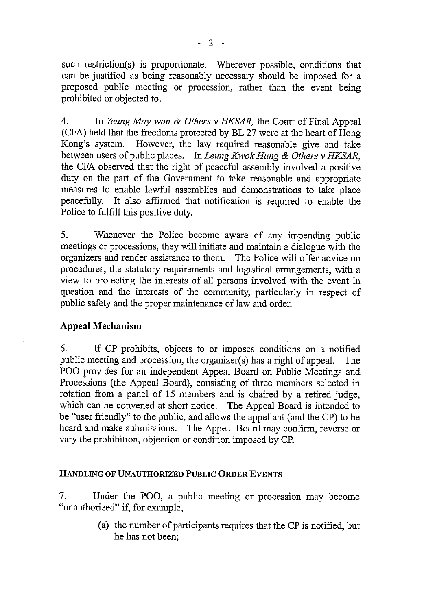such restriction(s) is proportionate. Wherever possible, conditions that can be justified as being reasonably necessary should be imposed for a proposed public meeting or procession, rather than the event being prohibited or objected to.

 $4.$ In Yeung May-wan & Others v HKSAR, the Court of Final Appeal (CFA) held that the freedoms protected by BL 27 were at the heart of Hong However, the law required reasonable give and take Kong's system. between users of public places. In Leung Kwok Hung & Others v HKSAR, the CFA observed that the right of peaceful assembly involved a positive duty on the part of the Government to take reasonable and appropriate measures to enable lawful assemblies and demonstrations to take place It also affirmed that notification is required to enable the peacefully. Police to fulfill this positive duty.

5. Whenever the Police become aware of any impending public meetings or processions, they will initiate and maintain a dialogue with the organizers and render assistance to them. The Police will offer advice on procedures, the statutory requirements and logistical arrangements, with a view to protecting the interests of all persons involved with the event in question and the interests of the community, particularly in respect of public safety and the proper maintenance of law and order.

## **Appeal Mechanism**

6. If CP prohibits, objects to or imposes conditions on a notified public meeting and procession, the organizer(s) has a right of appeal. The **The** POO provides for an independent Appeal Board on Public Meetings and Processions (the Appeal Board), consisting of three members selected in rotation from a panel of 15 members and is chaired by a retired judge, which can be convened at short notice. The Appeal Board is intended to be "user friendly" to the public, and allows the appellant (and the CP) to be heard and make submissions. The Appeal Board may confirm, reverse or vary the prohibition, objection or condition imposed by CP.

## HANDLING OF UNAUTHORIZED PUBLIC ORDER EVENTS

7. Under the POO, a public meeting or procession may become "unauthorized" if, for example,  $-$ 

> (a) the number of participants requires that the CP is notified, but he has not been: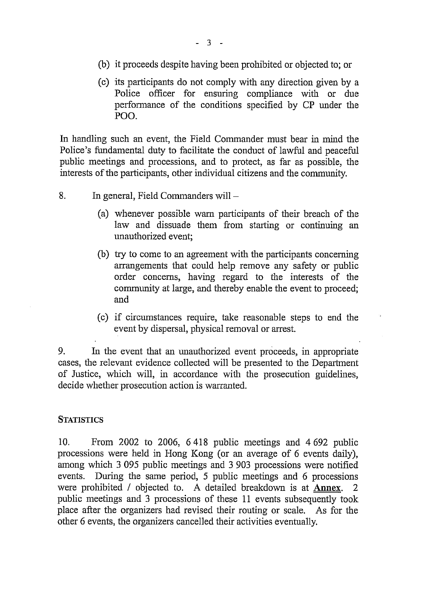- (b) it proceeds despite having been prohibited or objected to; or
- (c) its participants do not comply with any direction given by a Police officer for ensuring compliance with or due performance of the conditions specified by CP under the POO.

In handling such an event, the Field Commander must bear in mind the Police's fundamental duty to facilitate the conduct of lawful and peaceful public meetings and processions, and to protect, as far as possible, the interests of the participants, other individual citizens and the community.

- $8<sub>1</sub>$ In general, Field Commanders will -
	- (a) whenever possible warn participants of their breach of the law and dissuade them from starting or continuing an unauthorized event;
	- (b) try to come to an agreement with the participants concerning arrangements that could help remove any safety or public order concerns, having regard to the interests of the community at large, and thereby enable the event to proceed; and
	- (c) if circumstances require, take reasonable steps to end the event by dispersal, physical removal or arrest.

9. In the event that an unauthorized event proceeds, in appropriate cases, the relevant evidence collected will be presented to the Department of Justice, which will, in accordance with the prosecution guidelines, decide whether prosecution action is warranted.

### **STATISTICS**

 $10.$ From 2002 to 2006, 6418 public meetings and 4692 public processions were held in Hong Kong (or an average of 6 events daily), among which 3 095 public meetings and 3 903 processions were notified events. During the same period, 5 public meetings and 6 processions were prohibited / objected to. A detailed breakdown is at Annex. public meetings and 3 processions of these 11 events subsequently took place after the organizers had revised their routing or scale. As for the other 6 events, the organizers cancelled their activities eventually.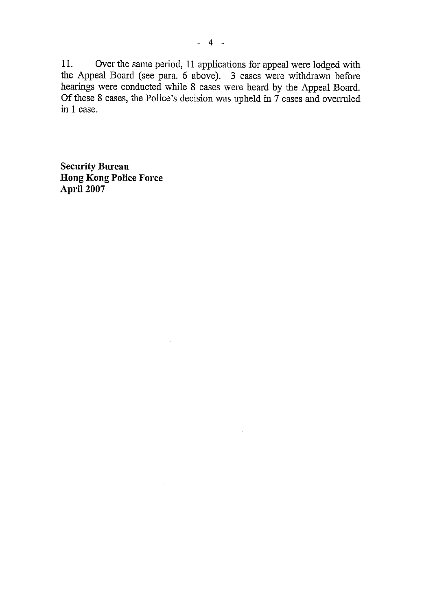11. Over the same period, 11 applications for appeal were lodged with the Appeal Board (see para. 6 above). 3 cases were withdrawn before<br>hearings were conducted while 8 cases were heard by the Appeal Board. Of these 8 cases, the Police's decision was upheld in 7 cases and overruled in 1 case.

**Security Bureau Hong Kong Police Force** April 2007

 $\hat{\mathcal{A}}$